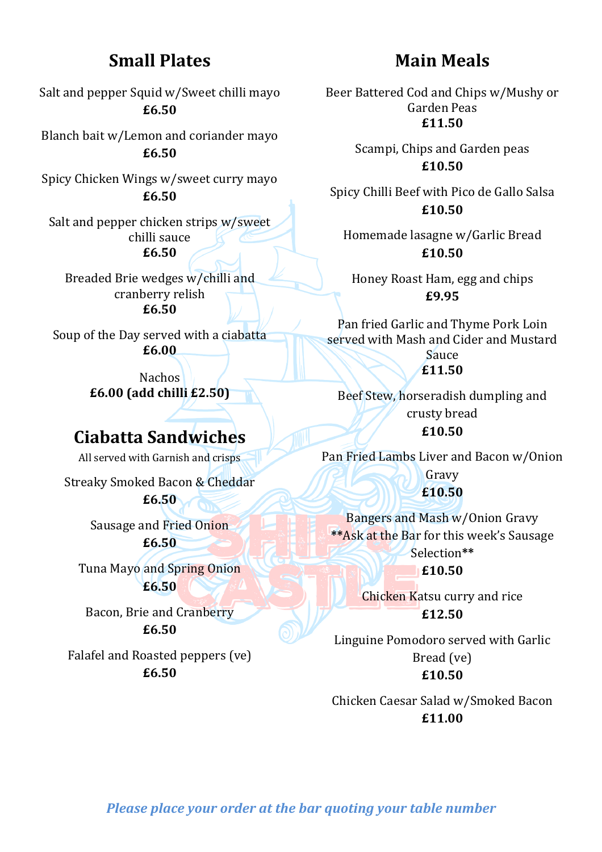### **Small Plates**

Salt and pepper Squid w/Sweet chilli mayo **£6.50**

Blanch bait w/Lemon and coriander mayo **£6.50**

Spicy Chicken Wings w/sweet curry mayo **£6.50**

Salt and pepper chicken strips w/sweet chilli sauce **£6.50**

Breaded Brie wedges w/chilli and cranberry relish **£6.50**

Soup of the Day served with a ciabatta **£6.00**

> Nachos **£6.00 (add chilli £2.50)**

# **Ciabatta Sandwiches**

All served with Garnish and crisps

Streaky Smoked Bacon & Cheddar

**£6.50**

Sausage and Fried Onion **£6.50**

Tuna Mayo and Spring Onion **£6.50**

Bacon, Brie and Cranberry **£6.50**

Falafel and Roasted peppers (ve) **£6.50**

## **Main Meals**

Beer Battered Cod and Chips w/Mushy or Garden Peas **£11.50**

> Scampi, Chips and Garden peas **£10.50**

Spicy Chilli Beef with Pico de Gallo Salsa **£10.50**

Homemade lasagne w/Garlic Bread **£10.50**

Honey Roast Ham, egg and chips **£9.95**

Pan fried Garlic and Thyme Pork Loin served with Mash and Cider and Mustard Sauce

**£11.50**

Beef Stew, horseradish dumpling and crusty bread **£10.50**

Pan Fried Lambs Liver and Bacon w/Onion Gravy **£10.50**

Bangers and Mash w/Onion Gravy \*\*Ask at the Bar for this week's Sausage Selection**\*\* £10.50**

> **Chicken Katsu curry and rice £12.50**

Linguine Pomodoro served with Garlic Bread (ve) **£10.50**

Chicken Caesar Salad w/Smoked Bacon **£11.00**

*Please place your order at the bar quoting your table number*